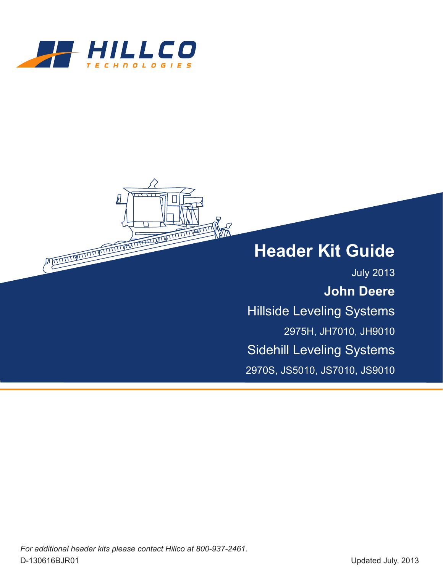

A REPORT OF THE REAL PROPERTY AND RELEASED FOR THE REAL PROPERTY OF THE REAL PROPERTY OF THE REAL PROPERTY OF THE REAL PROPERTY OF THE REAL PROPERTY OF THE REAL PROPERTY OF THE REAL PROPERTY OF THE REAL PROPERTY OF THE REA

# **Header Kit Guide**

July 2013 **John Deere** Hillside Leveling Systems 2975H, JH7010, JH9010 Sidehill Leveling Systems 2970S, JS5010, JS7010, JS9010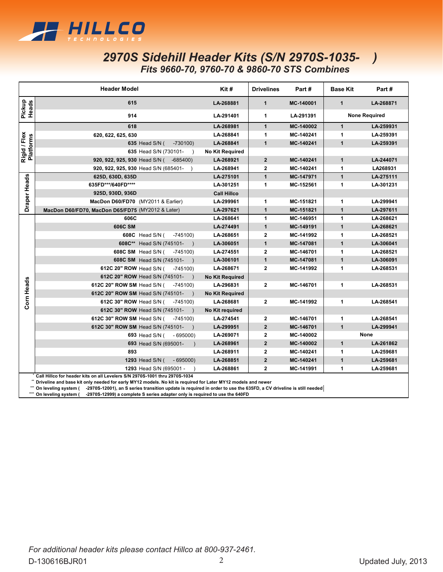

### *2970S Sidehill Header Kits (S/N 2970S-1035- ) Fits 9660-70, 9760-70 & 9860-70 STS Combines*

|                                                                                                                                                                                                                                                                                                                                                                                                                                                 | <b>Header Model</b>                                | Kit#                   | <b>Drivelines</b>       | Part#     | <b>Base Kit</b> | Part#                |
|-------------------------------------------------------------------------------------------------------------------------------------------------------------------------------------------------------------------------------------------------------------------------------------------------------------------------------------------------------------------------------------------------------------------------------------------------|----------------------------------------------------|------------------------|-------------------------|-----------|-----------------|----------------------|
| Pickup<br>Heads                                                                                                                                                                                                                                                                                                                                                                                                                                 | 615                                                | LA-268881              | $\mathbf{1}$            | MC-140001 | $\mathbf{1}$    | LA-268871            |
|                                                                                                                                                                                                                                                                                                                                                                                                                                                 | 914                                                | LA-291401              | 1                       | LA-291391 |                 | <b>None Required</b> |
| Rigid / Flex<br>Platforms                                                                                                                                                                                                                                                                                                                                                                                                                       | 618                                                | LA-268981              | $\mathbf{1}$            | MC-140002 | $\mathbf{1}$    | LA-259931            |
|                                                                                                                                                                                                                                                                                                                                                                                                                                                 | 620, 622, 625, 630                                 | LA-268841              | 1                       | MC-140241 | 1               | LA-259391            |
|                                                                                                                                                                                                                                                                                                                                                                                                                                                 | 635 Head S/N (<br>$-730100$                        | LA-268841              | $\mathbf{1}$            | MC-140241 | $\mathbf{1}$    | LA-259391            |
|                                                                                                                                                                                                                                                                                                                                                                                                                                                 | 635 Head S/N (730101-<br>$\lambda$                 | <b>No Kit Required</b> |                         |           |                 |                      |
|                                                                                                                                                                                                                                                                                                                                                                                                                                                 | 920, 922, 925, 930 Head S/N (<br>$-685400$         | LA-268921              | $\overline{2}$          | MC-140241 | $\mathbf{1}$    | LA-244071            |
|                                                                                                                                                                                                                                                                                                                                                                                                                                                 | 920, 922, 925, 930 Head S/N (685401-               | LA-268941              | $\mathbf 2$             | MC-140241 | 1               | LA268931             |
|                                                                                                                                                                                                                                                                                                                                                                                                                                                 | 625D, 630D, 635D                                   | LA-275101              | $\mathbf{1}$            | MC-147971 | $\mathbf{1}$    | LA-275111            |
| <b>Draper Heads</b>                                                                                                                                                                                                                                                                                                                                                                                                                             | 635FD***/640FD****                                 | LA-301251              | 1                       | MC-152561 | 1               | LA-301231            |
|                                                                                                                                                                                                                                                                                                                                                                                                                                                 | 925D, 930D, 936D                                   | <b>Call Hillco</b>     |                         |           |                 |                      |
|                                                                                                                                                                                                                                                                                                                                                                                                                                                 | MacDon D60/FD70 (MY2011 & Earlier)                 | LA-299961              | 1                       | MC-151821 | 1               | LA-299941            |
|                                                                                                                                                                                                                                                                                                                                                                                                                                                 | MacDon D60/FD70, MacDon D65/FD75 (MY2012 & Later)  | LA-297621              | $\mathbf{1}$            | MC-151821 | $\mathbf{1}$    | LA-297611            |
|                                                                                                                                                                                                                                                                                                                                                                                                                                                 | 606C                                               | LA-268641              | $\mathbf{1}$            | MC-146951 | 1               | LA-268621            |
|                                                                                                                                                                                                                                                                                                                                                                                                                                                 | 606C SM                                            | LA-274491              | $\mathbf{1}$            | MC-149191 | $\mathbf{1}$    | LA-268621            |
|                                                                                                                                                                                                                                                                                                                                                                                                                                                 | <b>608C</b> Head S/N (<br>$-745100$                | LA-268651              | $\mathbf 2$             | MC-141992 | 1               | LA-268521            |
|                                                                                                                                                                                                                                                                                                                                                                                                                                                 | 608C** Head S/N (745101- )                         | LA-306051              | $\mathbf{1}$            | MC-147081 | $\mathbf{1}$    | LA-306041            |
|                                                                                                                                                                                                                                                                                                                                                                                                                                                 | 608C SM Head S/N (<br>$-745100$                    | LA-274551              | $\mathbf 2$             | MC-146701 | 1               | LA-268521            |
|                                                                                                                                                                                                                                                                                                                                                                                                                                                 | 608C SM Head S/N (745101-)                         | LA-306101              | $\mathbf{1}$            | MC-147081 | $\mathbf{1}$    | LA-306091            |
|                                                                                                                                                                                                                                                                                                                                                                                                                                                 | 612C 20" ROW Head S/N (<br>-745100)                | LA-268671              | $\mathbf{2}$            | MC-141992 | 1               | LA-268531            |
|                                                                                                                                                                                                                                                                                                                                                                                                                                                 | 612C 20" ROW Head S/N (745101- )                   | <b>No Kit Required</b> |                         |           |                 |                      |
|                                                                                                                                                                                                                                                                                                                                                                                                                                                 | 612C 20" ROW SM Head S/N (<br>$-745100$            | LA-296831              | 2                       | MC-146701 | 1               | LA-268531            |
|                                                                                                                                                                                                                                                                                                                                                                                                                                                 | 612C 20" ROW SM Head S/N (745101-<br>$\rightarrow$ | <b>No Kit Required</b> |                         |           |                 |                      |
| Corn Heads                                                                                                                                                                                                                                                                                                                                                                                                                                      | 612C 30" ROW Head S/N (<br>$-745100$               | LA-268681              | $\overline{\mathbf{2}}$ | MC-141992 | 1               | LA-268541            |
|                                                                                                                                                                                                                                                                                                                                                                                                                                                 | 612C 30" ROW Head S/N (745101-<br>$\rightarrow$    | No Kit required        |                         |           |                 |                      |
|                                                                                                                                                                                                                                                                                                                                                                                                                                                 | 612C 30" ROW SM Head S/N (<br>-745100)             | LA-274541              | $\mathbf{2}$            | MC-146701 | 1               | LA-268541            |
|                                                                                                                                                                                                                                                                                                                                                                                                                                                 | 612C 30" ROW SM Head S/N (745101-                  | LA-299951              | $\overline{2}$          | MC-146701 | $\mathbf{1}$    | LA-299941            |
|                                                                                                                                                                                                                                                                                                                                                                                                                                                 | 693 Head S/N (<br>$-695000$                        | LA-269071              | $\mathbf 2$             | MC-140002 |                 | None                 |
|                                                                                                                                                                                                                                                                                                                                                                                                                                                 | 693 Head S/N (695001-                              | LA-268961              | $\overline{2}$          | MC-140002 | $\mathbf{1}$    | LA-261862            |
|                                                                                                                                                                                                                                                                                                                                                                                                                                                 | 893                                                | LA-268911              | $\overline{2}$          | MC-140241 | 1               | LA-259681            |
|                                                                                                                                                                                                                                                                                                                                                                                                                                                 | 1293 Head S/N (<br>$-695000$                       | LA-268851              | $\overline{2}$          | MC-140241 | $\mathbf{1}$    | LA-259681            |
|                                                                                                                                                                                                                                                                                                                                                                                                                                                 | 1293 Head S/N (695001 -                            | LA-268861              | $\mathbf{2}$            | MC-141991 | 1               | LA-259681            |
| Call Hillco for header kits on all Levelers S/N 2970S-1001 thru 2970S-1034<br>Driveline and base kit only needed for early MY12 models. No kit is required for Later MY12 models and newer<br>-2970S-12001), an S series transition update is required in order to use the 635FD, a CV driveline is still needed<br>On leveling system (<br>On leveling system (<br>-2970S-12999) a complete S series adapter only is required to use the 640FD |                                                    |                        |                         |           |                 |                      |

**\*\*\* On leveling system ( -2970S-12001), an S series transition update is required in order to use the 635FD, a CV driveline is still needed**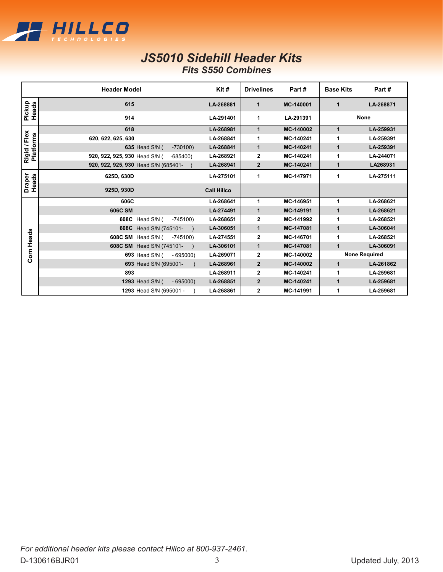

### *JS5010 Sidehill Header Kits Fits S550 Combines*

|                           | <b>Header Model</b>                        | Kit#               | <b>Drivelines</b> | Part#     | <b>Base Kits</b> | Part#                |
|---------------------------|--------------------------------------------|--------------------|-------------------|-----------|------------------|----------------------|
| Pickup<br>Heads           | 615                                        | LA-268881          | $\mathbf{1}$      | MC-140001 | $\mathbf{1}$     | LA-268871            |
|                           | 914                                        | LA-291401          | 1                 | LA-291391 |                  | <b>None</b>          |
| Rigid / Flex<br>Platforms | 618                                        | LA-268981          | $\mathbf{1}$      | MC-140002 | $\mathbf 1$      | LA-259931            |
|                           | 620, 622, 625, 630                         | LA-268841          | 1                 | MC-140241 | 1                | LA-259391            |
|                           | 635 Head S/N (<br>$-730100$                | LA-268841          | $\mathbf{1}$      | MC-140241 | 1                | LA-259391            |
|                           | 920, 922, 925, 930 Head S/N (<br>$-685400$ | LA-268921          | 2                 | MC-140241 | 1                | LA-244071            |
|                           | 920, 922, 925, 930 Head S/N (685401-       | LA-268941          | $\overline{2}$    | MC-140241 | 1                | LA268931             |
| Draper<br>Heads           | 625D, 630D                                 | LA-275101          | 1                 | MC-147971 | 1                | LA-275111            |
|                           | 925D, 930D                                 | <b>Call Hillco</b> |                   |           |                  |                      |
|                           | 606C                                       | LA-268641          | 1                 | MC-146951 | 1                | LA-268621            |
|                           | <b>606C SM</b>                             | LA-274491          | $\mathbf{1}$      | MC-149191 | 1                | LA-268621            |
|                           | 608C<br>Head S/N (<br>$-745100$            | LA-268651          | 2                 | MC-141992 | 1                | LA-268521            |
|                           | 608C Head S/N (745101-                     | LA-306051          | $\mathbf{1}$      | MC-147081 | 1                | LA-306041            |
| Corn Heads                | 608C SM Head S/N (<br>$-745100$            | LA-274551          | 2                 | MC-146701 | 1                | LA-268521            |
|                           | 608C SM Head S/N (745101-                  | LA-306101          | 1                 | MC-147081 | 1                | LA-306091            |
|                           | 693 Head S/N (<br>$-695000$                | LA-269071          | $\mathbf{2}$      | MC-140002 |                  | <b>None Required</b> |
|                           | 693 Head S/N (695001-                      | LA-268961          | $\overline{2}$    | MC-140002 | $\mathbf 1$      | LA-261862            |
|                           | 893                                        | LA-268911          | $\mathbf{2}$      | MC-140241 | 1                | LA-259681            |
|                           | $-695000$<br><b>1293 Head S/N (</b>        | LA-268851          | $\overline{2}$    | MC-140241 | $\mathbf{1}$     | LA-259681            |
|                           | 1293 Head S/N (695001 -                    | LA-268861          | 2                 | MC-141991 | 1                | LA-259681            |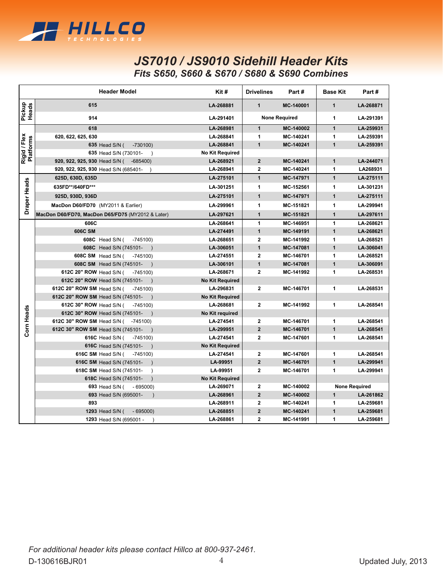

## *JS7010 / JS9010 Sidehill Header Kits Fits S650, S660 & S670 / S680 & S690 Combines*

|                           | <b>Header Model</b>                               | $K$ it#                | <b>Drivelines</b>         | Part#     | <b>Base Kit</b> | Part#                |
|---------------------------|---------------------------------------------------|------------------------|---------------------------|-----------|-----------------|----------------------|
| Pickup<br>Heads           | 615                                               | LA-268881              | $\mathbf{1}$<br>MC-140001 |           | $\mathbf{1}$    | LA-268871            |
|                           | 914                                               | LA-291401              | <b>None Required</b>      |           | 1               | LA-291391            |
|                           | 618                                               | LA-268981              | $\mathbf{1}$              | MC-140002 | $\mathbf{1}$    | LA-259931            |
| Rigid / Flex<br>Platforms | 620, 622, 625, 630                                | LA-268841              | 1                         | MC-140241 | 1               | LA-259391            |
|                           | 635 Head S/N (<br>$-730100$                       | LA-268841              | $\mathbf{1}$              | MC-140241 | $\overline{1}$  | LA-259391            |
|                           | 635 Head S/N (730101-<br>$\rightarrow$            | <b>No Kit Required</b> |                           |           |                 |                      |
|                           | 920, 922, 925, 930 Head S/N ( -685400)            | LA-268921              | $\overline{2}$            | MC-140241 | $\overline{1}$  | LA-244071            |
|                           | 920, 922, 925, 930 Head S/N (685401-              | LA-268941              | $\overline{2}$            | MC-140241 | 1               | LA268931             |
|                           | 625D, 630D, 635D                                  | LA-275101              | $\mathbf{1}$              | MC-147971 | $\mathbf{1}$    | LA-275111            |
|                           | 635FD**/640FD***                                  | LA-301251              | 1                         | MC-152561 | 1               | LA-301231            |
| <b>Draper Heads</b>       | 925D, 930D, 936D                                  | LA-275101              | $\mathbf{1}$              | MC-147971 | $\mathbf{1}$    | LA-275111            |
|                           | MacDon D60/FD70 (MY2011 & Earlier)                | LA-299961              | 1                         | MC-151821 | 1               | LA-299941            |
|                           | MacDon D60/FD70, MacDon D65/FD75 (MY2012 & Later) | LA-297621              | $\mathbf{1}$              | MC-151821 | $\overline{1}$  | LA-297611            |
|                           | 606C                                              | LA-268641              | 1                         | MC-146951 | 1               | LA-268621            |
|                           | 606C SM                                           | LA-274491              | $\mathbf{1}$              | MC-149191 | $\mathbf{1}$    | LA-268621            |
|                           | 608C Head S/N (<br>$-745100$                      | LA-268651              | $\overline{2}$            | MC-141992 | 1               | LA-268521            |
|                           | 608C Head S/N (745101-<br>$\rightarrow$           | LA-306051              | $\mathbf{1}$              | MC-147081 | $\mathbf{1}$    | LA-306041            |
|                           | 608C SM Head S/N (<br>$-745100$                   | LA-274551              | $\mathbf{2}$              | MC-146701 | 1               | LA-268521            |
|                           | 608C SM Head S/N (745101-                         | LA-306101              | $\mathbf{1}$              | MC-147081 | $\mathbf{1}$    | LA-306091            |
|                           | 612C 20" ROW Head S/N (<br>$-745100$              | LA-268671              | $\overline{2}$            | MC-141992 | 1               | LA-268531            |
|                           | 612C 20" ROW Head S/N (745101-                    | <b>No Kit Required</b> |                           |           |                 |                      |
|                           | 612C 20" ROW SM Head S/N (<br>$-745100$           | LA-296831              | $\overline{2}$            | MC-146701 | 1               | LA-268531            |
|                           | 612C 20" ROW SM Head S/N (745101-                 | <b>No Kit Required</b> |                           |           |                 |                      |
|                           | 612C 30" ROW Head S/N (<br>$-745100$              | LA-268681              | $\mathbf{2}$              | MC-141992 | 1               | LA-268541            |
|                           | 612C 30" ROW Head S/N (745101-                    | <b>No Kit required</b> |                           |           |                 |                      |
|                           | 612C 30" ROW SM Head S/N (<br>-745100)            | LA-274541              | $\overline{2}$            | MC-146701 | 1               | LA-268541            |
| Corn Heads                | 612C 30" ROW SM Head S/N (745101-                 | LA-299951              | $\overline{2}$            | MC-146701 | $\mathbf{1}$    | LA-268541            |
|                           | 616C Head S/N ( -745100)                          | LA-274541              | $\overline{2}$            | MC-147601 | 1               | LA-268541            |
|                           | 616C Head S/N (745101-<br>$\rightarrow$           | <b>No Kit Required</b> |                           |           |                 |                      |
|                           | 616C SM Head S/N ( -745100)                       | LA-274541              | $\mathbf{2}$              | MC-147601 | 1               | LA-268541            |
|                           | 616C SM Head S/N (745101-<br>$\rightarrow$        | LA-99951               | $\overline{2}$            | MC-146701 | $\mathbf{1}$    | LA-299941            |
|                           | 618C SM Head S/N (745101-<br>$\lambda$            | LA-99951               | $\mathbf{2}$              | MC-146701 | 1               | LA-299941            |
|                           | 618C Head S/N (745101-<br>$\lambda$               | <b>No Kit Required</b> |                           |           |                 |                      |
|                           | 693 Head S/N ( - 695000)                          | LA-269071              | $\mathbf{2}$              | MC-140002 |                 | <b>None Required</b> |
|                           | 693 Head S/N (695001-<br>$\lambda$                | LA-268961              | $\overline{2}$            | MC-140002 | $\mathbf{1}$    | LA-261862            |
|                           | 893                                               | LA-268911              | $\overline{2}$            | MC-140241 | 1               | LA-259681            |
|                           | 1293 Head S/N (<br>$-695000$                      | LA-268851              | $\overline{2}$            | MC-140241 | $\overline{1}$  | LA-259681            |
|                           | 1293 Head S/N (695001 -                           | LA-268861              | $\overline{2}$            | MC-141991 | 1               | LA-259681            |